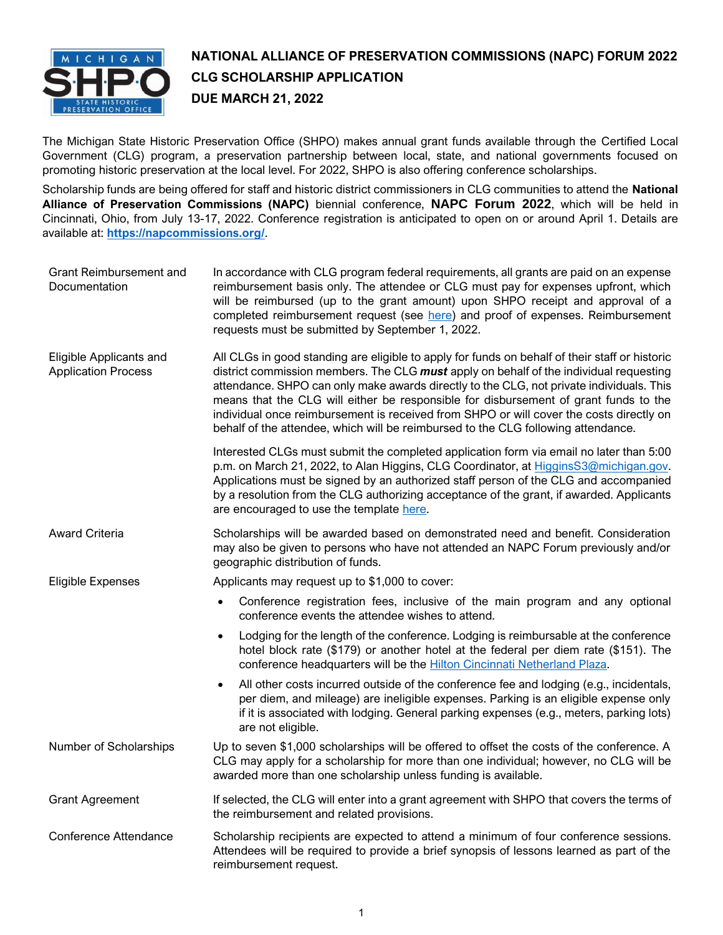

# **NATIONAL ALLIANCE OF PRESERVATION COMMISSIONS (NAPC) FORUM 2022 CLG SCHOLARSHIP APPLICATION DUE MARCH 21, 2022**

The Michigan State Historic Preservation Office (SHPO) makes annual grant funds available through the Certified Local Government (CLG) program, a preservation partnership between local, state, and national governments focused on promoting historic preservation at the local level. For 2022, SHPO is also offering conference scholarships.

Scholarship funds are being offered for staff and historic district commissioners in CLG communities to attend the **National Alliance of Preservation Commissions (NAPC)** biennial conference, **NAPC Forum 2022**, which will be held in Cincinnati, Ohio, from July 13-17, 2022. Conference registration is anticipated to open on or around April 1. Details are available at: **<https://napcommissions.org/>**.

| Grant Reimbursement and<br>Documentation              | In accordance with CLG program federal requirements, all grants are paid on an expense<br>reimbursement basis only. The attendee or CLG must pay for expenses upfront, which<br>will be reimbursed (up to the grant amount) upon SHPO receipt and approval of a<br>completed reimbursement request (see here) and proof of expenses. Reimbursement<br>requests must be submitted by September 1, 2022.                                                                                                                                                       |
|-------------------------------------------------------|--------------------------------------------------------------------------------------------------------------------------------------------------------------------------------------------------------------------------------------------------------------------------------------------------------------------------------------------------------------------------------------------------------------------------------------------------------------------------------------------------------------------------------------------------------------|
| Eligible Applicants and<br><b>Application Process</b> | All CLGs in good standing are eligible to apply for funds on behalf of their staff or historic<br>district commission members. The CLG must apply on behalf of the individual requesting<br>attendance. SHPO can only make awards directly to the CLG, not private individuals. This<br>means that the CLG will either be responsible for disbursement of grant funds to the<br>individual once reimbursement is received from SHPO or will cover the costs directly on<br>behalf of the attendee, which will be reimbursed to the CLG following attendance. |
|                                                       | Interested CLGs must submit the completed application form via email no later than 5:00<br>p.m. on March 21, 2022, to Alan Higgins, CLG Coordinator, at HigginsS3@michigan.gov.<br>Applications must be signed by an authorized staff person of the CLG and accompanied<br>by a resolution from the CLG authorizing acceptance of the grant, if awarded. Applicants<br>are encouraged to use the template here.                                                                                                                                              |
| Award Criteria                                        | Scholarships will be awarded based on demonstrated need and benefit. Consideration<br>may also be given to persons who have not attended an NAPC Forum previously and/or<br>geographic distribution of funds.                                                                                                                                                                                                                                                                                                                                                |
| <b>Eligible Expenses</b>                              | Applicants may request up to \$1,000 to cover:                                                                                                                                                                                                                                                                                                                                                                                                                                                                                                               |
|                                                       | Conference registration fees, inclusive of the main program and any optional<br>$\bullet$<br>conference events the attendee wishes to attend.                                                                                                                                                                                                                                                                                                                                                                                                                |
|                                                       | Lodging for the length of the conference. Lodging is reimbursable at the conference<br>$\bullet$<br>hotel block rate (\$179) or another hotel at the federal per diem rate (\$151). The<br>conference headquarters will be the Hilton Cincinnati Netherland Plaza.                                                                                                                                                                                                                                                                                           |
|                                                       | All other costs incurred outside of the conference fee and lodging (e.g., incidentals,<br>$\bullet$<br>per diem, and mileage) are ineligible expenses. Parking is an eligible expense only<br>if it is associated with lodging. General parking expenses (e.g., meters, parking lots)<br>are not eligible.                                                                                                                                                                                                                                                   |
| Number of Scholarships                                | Up to seven \$1,000 scholarships will be offered to offset the costs of the conference. A<br>CLG may apply for a scholarship for more than one individual; however, no CLG will be<br>awarded more than one scholarship unless funding is available.                                                                                                                                                                                                                                                                                                         |
| <b>Grant Agreement</b>                                | If selected, the CLG will enter into a grant agreement with SHPO that covers the terms of<br>the reimbursement and related provisions.                                                                                                                                                                                                                                                                                                                                                                                                                       |
| <b>Conference Attendance</b>                          | Scholarship recipients are expected to attend a minimum of four conference sessions.<br>Attendees will be required to provide a brief synopsis of lessons learned as part of the<br>reimbursement request.                                                                                                                                                                                                                                                                                                                                                   |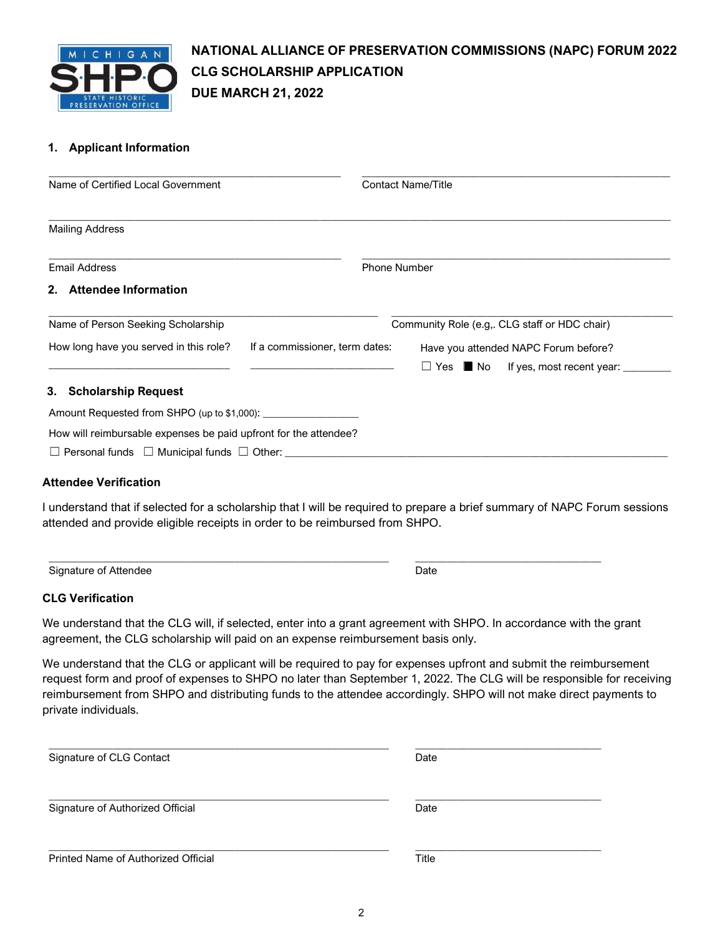

# **NATIONAL ALLIANCE OF PRESERVATION COMMISSIONS (NAPC) FORUM 2022 CLG SCHOLARSHIP APPLICATION DUE MARCH 21, 2022**

## **1. Applicant Information**

| Name of Certified Local Government                                       |                                               | <b>Contact Name/Title</b>            |  |                           |  |
|--------------------------------------------------------------------------|-----------------------------------------------|--------------------------------------|--|---------------------------|--|
|                                                                          |                                               |                                      |  |                           |  |
| <b>Mailing Address</b>                                                   |                                               |                                      |  |                           |  |
| <b>Email Address</b>                                                     |                                               | <b>Phone Number</b>                  |  |                           |  |
| <b>Attendee Information</b><br>$2_{-}$                                   |                                               |                                      |  |                           |  |
| Name of Person Seeking Scholarship                                       | Community Role (e.g., CLG staff or HDC chair) |                                      |  |                           |  |
| How long have you served in this role?<br>If a commissioner, term dates: |                                               | Have you attended NAPC Forum before? |  |                           |  |
|                                                                          |                                               | $\Box$ Yes $\blacksquare$ No         |  | If yes, most recent year: |  |
| 3. Scholarship Request                                                   |                                               |                                      |  |                           |  |
|                                                                          |                                               |                                      |  |                           |  |
| How will reimbursable expenses be paid upfront for the attendee?         |                                               |                                      |  |                           |  |
| $\Box$ Personal funds $\Box$ Municipal funds $\Box$ Other:               |                                               |                                      |  |                           |  |

### **Attendee Verification**

I understand that if selected for a scholarship that I will be required to prepare a brief summary of NAPC Forum sessions attended and provide eligible receipts in order to be reimbursed from SHPO.

Date

\_\_\_\_\_\_\_\_\_\_\_\_\_\_\_\_\_\_\_\_\_\_\_\_\_\_\_\_\_\_\_\_\_\_\_

Signature of Attendee

\_\_\_\_\_\_\_\_\_\_\_\_\_\_\_\_\_\_\_\_\_\_\_\_\_\_\_\_\_\_\_\_\_\_\_\_\_\_\_\_\_\_\_\_\_\_\_\_\_\_\_\_\_\_\_\_\_\_\_\_\_\_\_\_

### **CLG Verification**

We understand that the CLG will, if selected, enter into a grant agreement with SHPO. In accordance with the grant agreement, the CLG scholarship will paid on an expense reimbursement basis only.

We understand that the CLG or applicant will be required to pay for expenses upfront and submit the reimbursement request form and proof of expenses to SHPO no later than September 1, 2022. The CLG will be responsible for receiving reimbursement from SHPO and distributing funds to the attendee accordingly. SHPO will not make direct payments to private individuals.

| Signature of CLG Contact            | Date         |  |  |
|-------------------------------------|--------------|--|--|
| Signature of Authorized Official    | Date         |  |  |
| Printed Name of Authorized Official | <b>Title</b> |  |  |